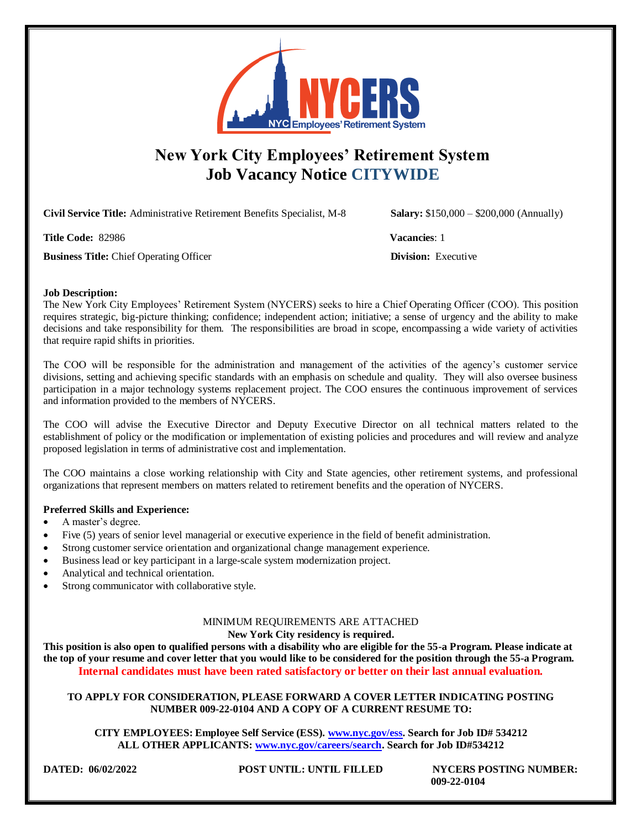

# **New York City Employees' Retirement System Job Vacancy Notice CITYWIDE**

**Civil Service Title:** Administrative Retirement Benefits Specialist, M-8 **Salary:** \$150,000 – \$200,000 (Annually)

**Title Code:** 82986 **Vacancies**: 1

**Business Title:** Chief Operating Officer **Division: Division: Executive** 

## **Job Description:**

The New York City Employees' Retirement System (NYCERS) seeks to hire a Chief Operating Officer (COO). This position requires strategic, big-picture thinking; confidence; independent action; initiative; a sense of urgency and the ability to make decisions and take responsibility for them. The responsibilities are broad in scope, encompassing a wide variety of activities that require rapid shifts in priorities.

The COO will be responsible for the administration and management of the activities of the agency's customer service divisions, setting and achieving specific standards with an emphasis on schedule and quality. They will also oversee business participation in a major technology systems replacement project. The COO ensures the continuous improvement of services and information provided to the members of NYCERS.

The COO will advise the Executive Director and Deputy Executive Director on all technical matters related to the establishment of policy or the modification or implementation of existing policies and procedures and will review and analyze proposed legislation in terms of administrative cost and implementation.

The COO maintains a close working relationship with City and State agencies, other retirement systems, and professional organizations that represent members on matters related to retirement benefits and the operation of NYCERS.

# **Preferred Skills and Experience:**

- A master's degree.
- Five (5) years of senior level managerial or executive experience in the field of benefit administration.
- Strong customer service orientation and organizational change management experience.
- Business lead or key participant in a large-scale system modernization project.
- Analytical and technical orientation.
- Strong communicator with collaborative style.

# MINIMUM REQUIREMENTS ARE ATTACHED

#### **New York City residency is required.**

**This position is also open to qualified persons with a disability who are eligible for the 55-a Program. Please indicate at the top of your resume and cover letter that you would like to be considered for the position through the 55-a Program. Internal candidates must have been rated satisfactory or better on their last annual evaluation.**

## **TO APPLY FOR CONSIDERATION, PLEASE FORWARD A COVER LETTER INDICATING POSTING NUMBER 009-22-0104 AND A COPY OF A CURRENT RESUME TO:**

**CITY EMPLOYEES: Employee Self Service (ESS). [www.nyc.gov/ess.](http://www.nyc.gov/ess) Search for Job ID# 534212 ALL OTHER APPLICANTS: [www.nyc.gov/careers/search.](http://www.nyc.gov/careers/search) Search for Job ID#534212**

**DATED: 06/02/2022 POST UNTIL: UNTIL FILLED NYCERS POSTING NUMBER: 009-22-0104**